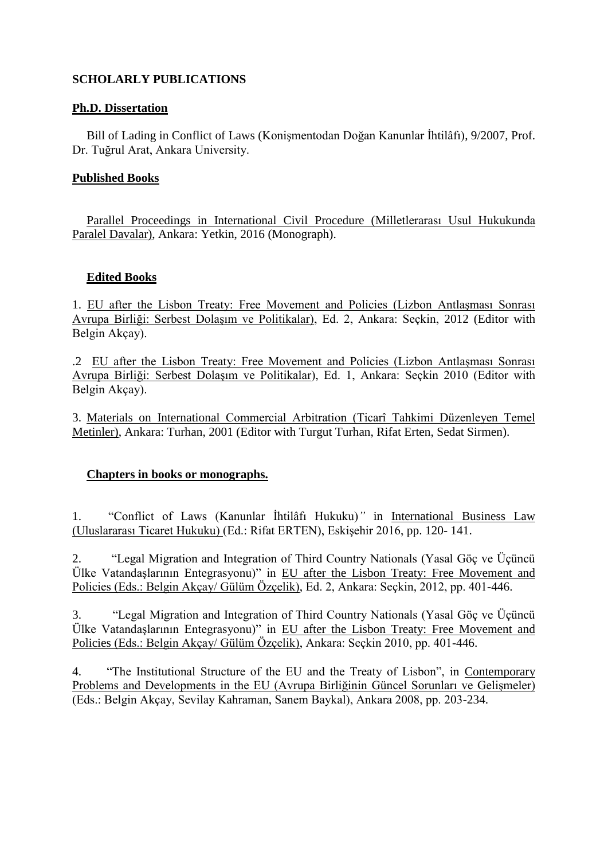# **SCHOLARLY PUBLICATIONS**

# **Ph.D. Dissertation**

Bill of Lading in Conflict of Laws (Konismentodan Doğan Kanunlar İhtilâfı), 9/2007, Prof. Dr. Tuğrul Arat, Ankara University.

# **Published Books**

Parallel Proceedings in International Civil Procedure (Milletlerarası Usul Hukukunda Paralel Davalar), Ankara: Yetkin, 2016 (Monograph).

### **Edited Books**

1. EU after the Lisbon Treaty: Free Movement and Policies (Lizbon Antlaşması Sonrası Avrupa Birliği: Serbest DolaĢım ve Politikalar), Ed. 2, Ankara: Seçkin, 2012 (Editor with Belgin Akçay).

.2 EU after the Lisbon Treaty: Free Movement and Policies (Lizbon AntlaĢması Sonrası Avrupa Birliği: Serbest DolaĢım ve Politikalar), Ed. 1, Ankara: Seçkin 2010 (Editor with Belgin Akçay).

3. Materials on International Commercial Arbitration (Ticarî Tahkimi Düzenleyen Temel Metinler), Ankara: Turhan, 2001 (Editor with Turgut Turhan, Rifat Erten, Sedat Sirmen).

#### **Chapters in books or monographs.**

1. "Conflict of Laws (Kanunlar İhtilâfı Hukuku)" in International Business Law (Uluslararası Ticaret Hukuku) (Ed.: Rifat ERTEN), EskiĢehir 2016, pp. 120- 141.

2. "Legal Migration and Integration of Third Country Nationals (Yasal Göç ve Üçüncü Ülke VatandaĢlarının Entegrasyonu)" in EU after the Lisbon Treaty: Free Movement and Policies (Eds.: Belgin Akçay/ Gülüm Özçelik), Ed. 2, Ankara: Seçkin, 2012, pp. 401-446.

3. "Legal Migration and Integration of Third Country Nationals (Yasal Göç ve Üçüncü Ülke VatandaĢlarının Entegrasyonu)" in EU after the Lisbon Treaty: Free Movement and Policies (Eds.: Belgin Akçay/ Gülüm Özçelik), Ankara: Seçkin 2010, pp. 401-446.

4. "The Institutional Structure of the EU and the Treaty of Lisbon", in Contemporary Problems and Developments in the EU (Avrupa Birliğinin Güncel Sorunları ve Gelismeler) (Eds.: Belgin Akçay, Sevilay Kahraman, Sanem Baykal), Ankara 2008, pp. 203-234.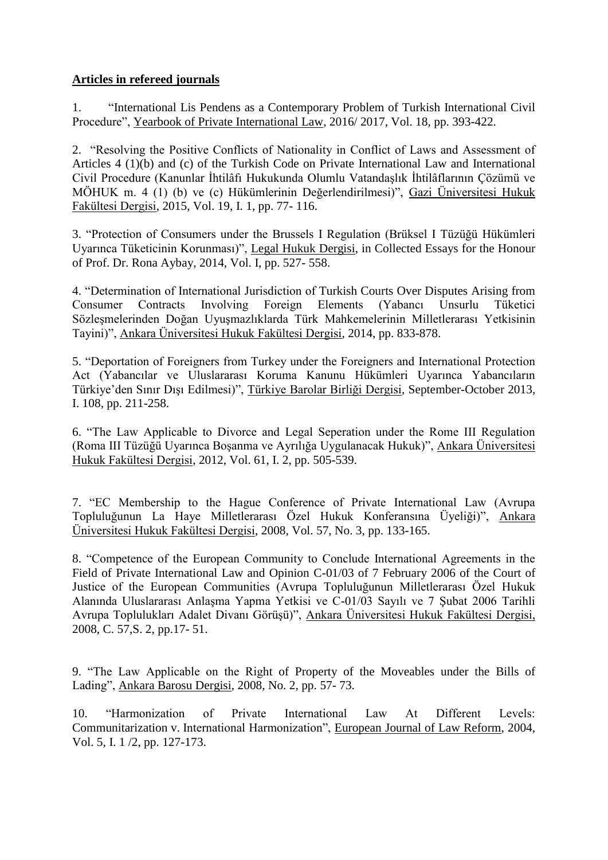# **Articles in refereed journals**

1. "International Lis Pendens as a Contemporary Problem of Turkish International Civil Procedure", Yearbook of Private International Law, 2016/ 2017, Vol. 18, pp. 393-422.

2. "Resolving the Positive Conflicts of Nationality in Conflict of Laws and Assessment of Articles 4 (1)(b) and (c) of the Turkish Code on Private International Law and International Civil Procedure (Kanunlar İhtilâfı Hukukunda Olumlu Vatandaşlık İhtilâflarının Çözümü ve MÖHUK m. 4 (1) (b) ve (c) Hükümlerinin Değerlendirilmesi)", Gazi Üniversitesi Hukuk Fakültesi Dergisi, 2015, Vol. 19, I. 1, pp. 77- 116.

3. "Protection of Consumers under the Brussels I Regulation (Brüksel I Tüzüğü Hükümleri Uyarınca Tüketicinin Korunması)", Legal Hukuk Dergisi, in Collected Essays for the Honour of Prof. Dr. Rona Aybay, 2014, Vol. I, pp. 527- 558.

4. "Determination of International Jurisdiction of Turkish Courts Over Disputes Arising from Consumer Contracts Involving Foreign Elements (Yabancı Unsurlu Tüketici Sözleşmelerinden Doğan Uyuşmazlıklarda Türk Mahkemelerinin Milletlerarası Yetkisinin Tayini)", Ankara Üniversitesi Hukuk Fakültesi Dergisi, 2014, pp. 833-878.

5. "Deportation of Foreigners from Turkey under the Foreigners and International Protection Act (Yabancılar ve Uluslararası Koruma Kanunu Hükümleri Uyarınca Yabancıların Türkiye'den Sınır DıĢı Edilmesi)", Türkiye Barolar Birliği Dergisi, September-October 2013, I. 108, pp. 211-258.

6. "The Law Applicable to Divorce and Legal Seperation under the Rome III Regulation (Roma III Tüzüğü Uyarınca BoĢanma ve Ayrılığa Uygulanacak Hukuk)", Ankara Üniversitesi Hukuk Fakültesi Dergisi, 2012, Vol. 61, I. 2, pp. 505-539.

7. "EC Membership to the Hague Conference of Private International Law (Avrupa Topluluğunun La Haye Milletlerarası Özel Hukuk Konferansına Üyeliği)", Ankara Üniversitesi Hukuk Fakültesi Dergisi, 2008, Vol. 57, No. 3, pp. 133-165.

8. "Competence of the European Community to Conclude International Agreements in the Field of Private International Law and Opinion C-01/03 of 7 February 2006 of the Court of Justice of the European Communities (Avrupa Topluluğunun Milletlerarası Özel Hukuk Alanında Uluslararası Anlaşma Yapma Yetkisi ve C-01/03 Sayılı ve 7 Subat 2006 Tarihli Avrupa Toplulukları Adalet Divanı GörüĢü)", Ankara Üniversitesi Hukuk Fakültesi Dergisi, 2008, C. 57,S. 2, pp.17- 51.

9. "The Law Applicable on the Right of Property of the Moveables under the Bills of Lading", Ankara Barosu Dergisi, 2008, No. 2, pp. 57- 73.

10. "Harmonization of Private International Law At Different Levels: Communitarization v. International Harmonization", European Journal of Law Reform, 2004, Vol. 5, I. 1 /2, pp. 127-173.